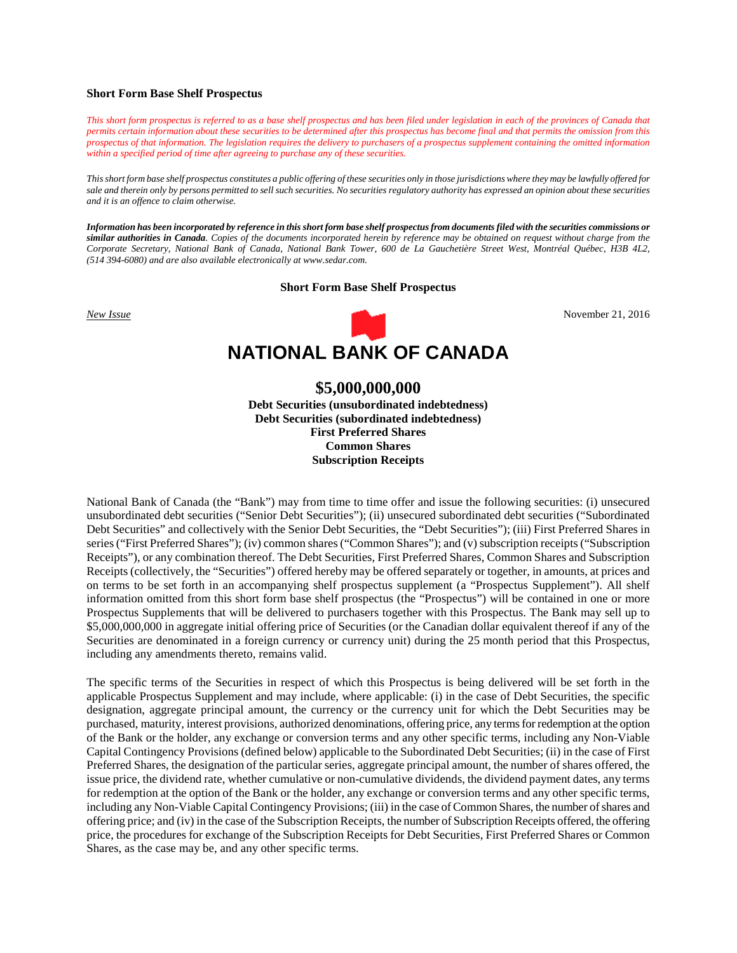#### **Short Form Base Shelf Prospectus**

*This short form prospectus is referred to as a base shelf prospectus and has been filed under legislation in each of the provinces of Canada that permits certain information about these securities to be determined after this prospectus has become final and that permits the omission from this prospectus of that information. The legislation requires the delivery to purchasers of a prospectus supplement containing the omitted information within a specified period of time after agreeing to purchase any of these securities.*

*This short form base shelf prospectus constitutes a public offering of these securities only in those jurisdictions where they may be lawfully offered for sale and therein only by persons permitted to sell such securities. No securities regulatory authority has expressed an opinion about these securities and it is an offence to claim otherwise.*

*Information has been incorporated by reference in this short form base shelf prospectus from documents filed with the securities commissions or similar authorities in Canada. Copies of the documents incorporated herein by reference may be obtained on request without charge from the Corporate Secretary, National Bank of Canada, National Bank Tower, 600 de La Gauchetière Street West, Montréal Québec, H3B 4L2, (514 394-6080) and are also available electronically at www.sedar.com.*

#### **Short Form Base Shelf Prospectus**



# **NATIONAL BANK OF CANADA**

# **\$5,000,000,000**

**Debt Securities (unsubordinated indebtedness) Debt Securities (subordinated indebtedness) First Preferred Shares Common Shares Subscription Receipts**

National Bank of Canada (the "Bank") may from time to time offer and issue the following securities: (i) unsecured unsubordinated debt securities ("Senior Debt Securities"); (ii) unsecured subordinated debt securities ("Subordinated Debt Securities" and collectively with the Senior Debt Securities, the "Debt Securities"); (iii) First Preferred Shares in series ("First Preferred Shares"); (iv) common shares ("Common Shares"); and (v) subscription receipts ("Subscription Receipts"), or any combination thereof. The Debt Securities, First Preferred Shares, Common Shares and Subscription Receipts (collectively, the "Securities") offered hereby may be offered separately or together, in amounts, at prices and on terms to be set forth in an accompanying shelf prospectus supplement (a "Prospectus Supplement"). All shelf information omitted from this short form base shelf prospectus (the "Prospectus") will be contained in one or more Prospectus Supplements that will be delivered to purchasers together with this Prospectus. The Bank may sell up to \$5,000,000,000 in aggregate initial offering price of Securities (or the Canadian dollar equivalent thereof if any of the Securities are denominated in a foreign currency or currency unit) during the 25 month period that this Prospectus, including any amendments thereto, remains valid.

The specific terms of the Securities in respect of which this Prospectus is being delivered will be set forth in the applicable Prospectus Supplement and may include, where applicable: (i) in the case of Debt Securities, the specific designation, aggregate principal amount, the currency or the currency unit for which the Debt Securities may be purchased, maturity, interest provisions, authorized denominations, offering price, any terms for redemption at the option of the Bank or the holder, any exchange or conversion terms and any other specific terms, including any Non-Viable Capital Contingency Provisions (defined below) applicable to the Subordinated Debt Securities; (ii) in the case of First Preferred Shares, the designation of the particular series, aggregate principal amount, the number of shares offered, the issue price, the dividend rate, whether cumulative or non-cumulative dividends, the dividend payment dates, any terms for redemption at the option of the Bank or the holder, any exchange or conversion terms and any other specific terms, including any Non-Viable Capital Contingency Provisions; (iii) in the case of Common Shares, the number of shares and offering price; and (iv) in the case of the Subscription Receipts, the number of Subscription Receipts offered, the offering price, the procedures for exchange of the Subscription Receipts for Debt Securities, First Preferred Shares or Common Shares, as the case may be, and any other specific terms.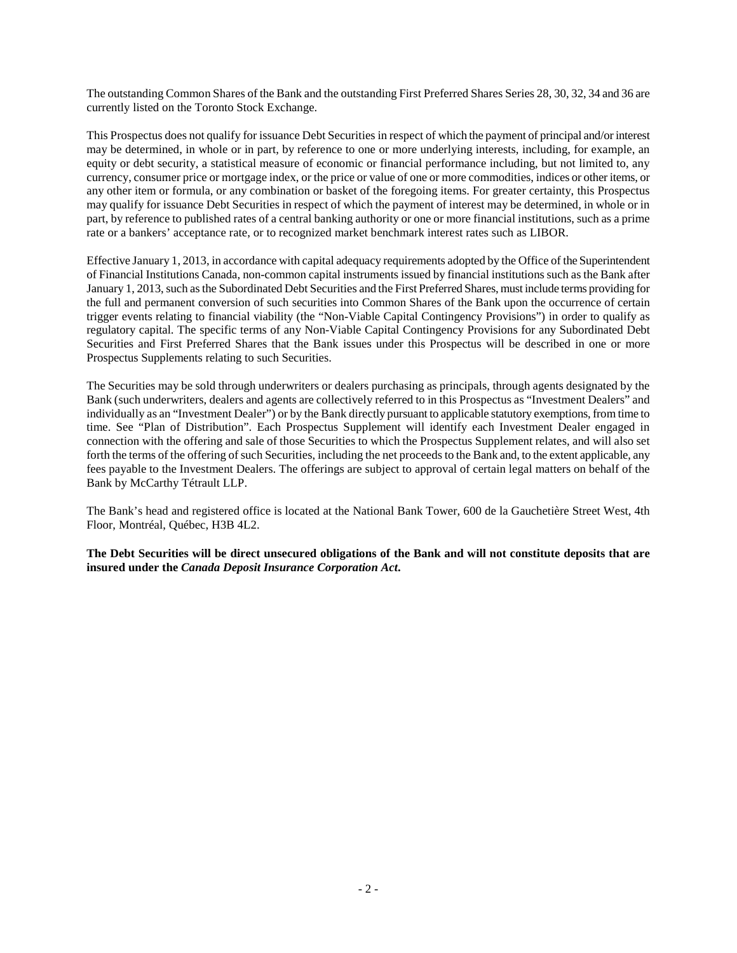The outstanding Common Shares of the Bank and the outstanding First Preferred Shares Series 28, 30, 32, 34 and 36 are currently listed on the Toronto Stock Exchange.

This Prospectus does not qualify for issuance Debt Securities in respect of which the payment of principal and/or interest may be determined, in whole or in part, by reference to one or more underlying interests, including, for example, an equity or debt security, a statistical measure of economic or financial performance including, but not limited to, any currency, consumer price or mortgage index, or the price or value of one or more commodities, indices or other items, or any other item or formula, or any combination or basket of the foregoing items. For greater certainty, this Prospectus may qualify for issuance Debt Securities in respect of which the payment of interest may be determined, in whole or in part, by reference to published rates of a central banking authority or one or more financial institutions, such as a prime rate or a bankers' acceptance rate, or to recognized market benchmark interest rates such as LIBOR.

Effective January 1, 2013, in accordance with capital adequacy requirements adopted by the Office of the Superintendent of Financial Institutions Canada, non-common capital instruments issued by financial institutions such as the Bank after January 1, 2013, such as the Subordinated Debt Securities and the First Preferred Shares, must include terms providing for the full and permanent conversion of such securities into Common Shares of the Bank upon the occurrence of certain trigger events relating to financial viability (the "Non-Viable Capital Contingency Provisions") in order to qualify as regulatory capital. The specific terms of any Non-Viable Capital Contingency Provisions for any Subordinated Debt Securities and First Preferred Shares that the Bank issues under this Prospectus will be described in one or more Prospectus Supplements relating to such Securities.

The Securities may be sold through underwriters or dealers purchasing as principals, through agents designated by the Bank (such underwriters, dealers and agents are collectively referred to in this Prospectus as "Investment Dealers" and individually as an "Investment Dealer") or by the Bank directly pursuant to applicable statutory exemptions, from time to time. See "Plan of Distribution". Each Prospectus Supplement will identify each Investment Dealer engaged in connection with the offering and sale of those Securities to which the Prospectus Supplement relates, and will also set forth the terms of the offering of such Securities, including the net proceeds to the Bank and, to the extent applicable, any fees payable to the Investment Dealers. The offerings are subject to approval of certain legal matters on behalf of the Bank by McCarthy Tétrault LLP.

The Bank's head and registered office is located at the National Bank Tower, 600 de la Gauchetière Street West, 4th Floor, Montréal, Québec, H3B 4L2.

**The Debt Securities will be direct unsecured obligations of the Bank and will not constitute deposits that are insured under the** *Canada Deposit Insurance Corporation Act***.**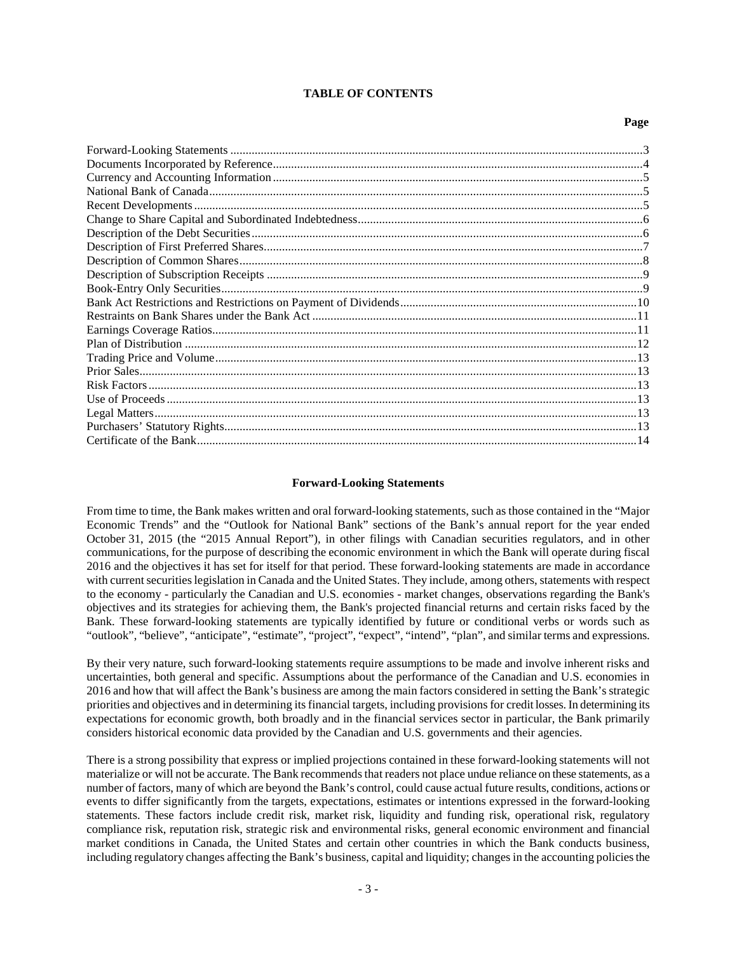# **TABLE OF CONTENTS**

#### **Page**

#### **Forward-Looking Statements**

From time to time, the Bank makes written and oral forward-looking statements, such as those contained in the "Major Economic Trends" and the "Outlook for National Bank" sections of the Bank's annual report for the year ended October 31, 2015 (the "2015 Annual Report"), in other filings with Canadian securities regulators, and in other communications, for the purpose of describing the economic environment in which the Bank will operate during fiscal 2016 and the objectives it has set for itself for that period. These forward-looking statements are made in accordance with current securities legislation in Canada and the United States. They include, among others, statements with respect to the economy - particularly the Canadian and U.S. economies - market changes, observations regarding the Bank's objectives and its strategies for achieving them, the Bank's projected financial returns and certain risks faced by the Bank. These forward-looking statements are typically identified by future or conditional verbs or words such as "outlook", "believe", "anticipate", "estimate", "project", "expect", "intend", "plan", and similar terms and expressions.

By their very nature, such forward-looking statements require assumptions to be made and involve inherent risks and uncertainties, both general and specific. Assumptions about the performance of the Canadian and U.S. economies in 2016 and how that will affect the Bank's business are among the main factors considered in setting the Bank's strategic priorities and objectives and in determining its financial targets, including provisions for credit losses. In determining its expectations for economic growth, both broadly and in the financial services sector in particular, the Bank primarily considers historical economic data provided by the Canadian and U.S. governments and their agencies.

There is a strong possibility that express or implied projections contained in these forward-looking statements will not materialize or will not be accurate. The Bank recommends that readers not place undue reliance on these statements, as a number of factors, many of which are beyond the Bank's control, could cause actual future results, conditions, actions or events to differ significantly from the targets, expectations, estimates or intentions expressed in the forward-looking statements. These factors include credit risk, market risk, liquidity and funding risk, operational risk, regulatory compliance risk, reputation risk, strategic risk and environmental risks, general economic environment and financial market conditions in Canada, the United States and certain other countries in which the Bank conducts business, including regulatory changes affecting the Bank's business, capital and liquidity; changes in the accounting policies the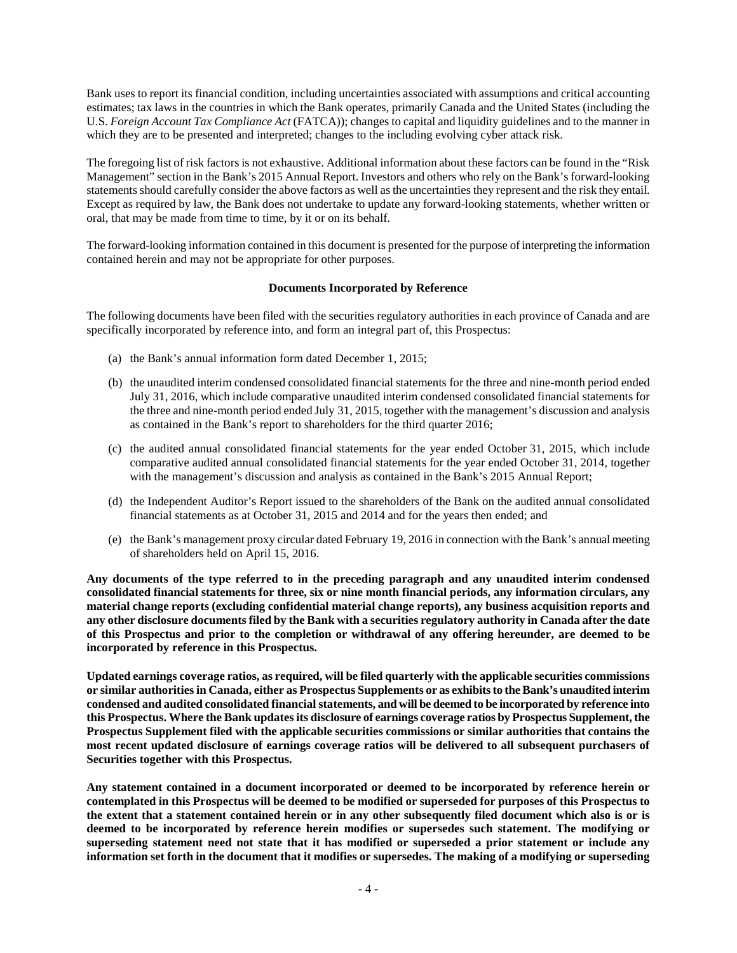Bank uses to report its financial condition, including uncertainties associated with assumptions and critical accounting estimates; tax laws in the countries in which the Bank operates, primarily Canada and the United States (including the U.S. *Foreign Account Tax Compliance Act* (FATCA)); changes to capital and liquidity guidelines and to the manner in which they are to be presented and interpreted; changes to the including evolving cyber attack risk.

The foregoing list of risk factors is not exhaustive. Additional information about these factors can be found in the "Risk Management" section in the Bank's 2015 Annual Report. Investors and others who rely on the Bank's forward-looking statements should carefully consider the above factors as well as the uncertainties they represent and the risk they entail. Except as required by law, the Bank does not undertake to update any forward-looking statements, whether written or oral, that may be made from time to time, by it or on its behalf.

The forward-looking information contained in this document is presented for the purpose of interpreting the information contained herein and may not be appropriate for other purposes.

# **Documents Incorporated by Reference**

The following documents have been filed with the securities regulatory authorities in each province of Canada and are specifically incorporated by reference into, and form an integral part of, this Prospectus:

- (a) the Bank's annual information form dated December 1, 2015;
- (b) the unaudited interim condensed consolidated financial statements for the three and nine-month period ended July 31, 2016, which include comparative unaudited interim condensed consolidated financial statements for the three and nine-month period ended July 31, 2015, together with the management's discussion and analysis as contained in the Bank's report to shareholders for the third quarter 2016;
- (c) the audited annual consolidated financial statements for the year ended October 31, 2015, which include comparative audited annual consolidated financial statements for the year ended October 31, 2014, together with the management's discussion and analysis as contained in the Bank's 2015 Annual Report;
- (d) the Independent Auditor's Report issued to the shareholders of the Bank on the audited annual consolidated financial statements as at October 31, 2015 and 2014 and for the years then ended; and
- (e) the Bank's management proxy circular dated February 19, 2016 in connection with the Bank's annual meeting of shareholders held on April 15, 2016.

**Any documents of the type referred to in the preceding paragraph and any unaudited interim condensed consolidated financial statements for three, six or nine month financial periods, any information circulars, any material change reports (excluding confidential material change reports), any business acquisition reports and any other disclosure documents filed by the Bank with a securities regulatory authority in Canada after the date of this Prospectus and prior to the completion or withdrawal of any offering hereunder, are deemed to be incorporated by reference in this Prospectus.**

**Updated earnings coverage ratios, as required, will be filed quarterly with the applicable securities commissions or similar authorities in Canada, either as Prospectus Supplements or as exhibits to the Bank's unaudited interim condensed and audited consolidated financial statements, and will be deemed to be incorporated by reference into this Prospectus. Where the Bank updates its disclosure of earnings coverage ratios by Prospectus Supplement, the Prospectus Supplement filed with the applicable securities commissions or similar authorities that contains the most recent updated disclosure of earnings coverage ratios will be delivered to all subsequent purchasers of Securities together with this Prospectus.**

**Any statement contained in a document incorporated or deemed to be incorporated by reference herein or contemplated in this Prospectus will be deemed to be modified or superseded for purposes of this Prospectus to the extent that a statement contained herein or in any other subsequently filed document which also is or is deemed to be incorporated by reference herein modifies or supersedes such statement. The modifying or superseding statement need not state that it has modified or superseded a prior statement or include any information set forth in the document that it modifies or supersedes. The making of a modifying or superseding**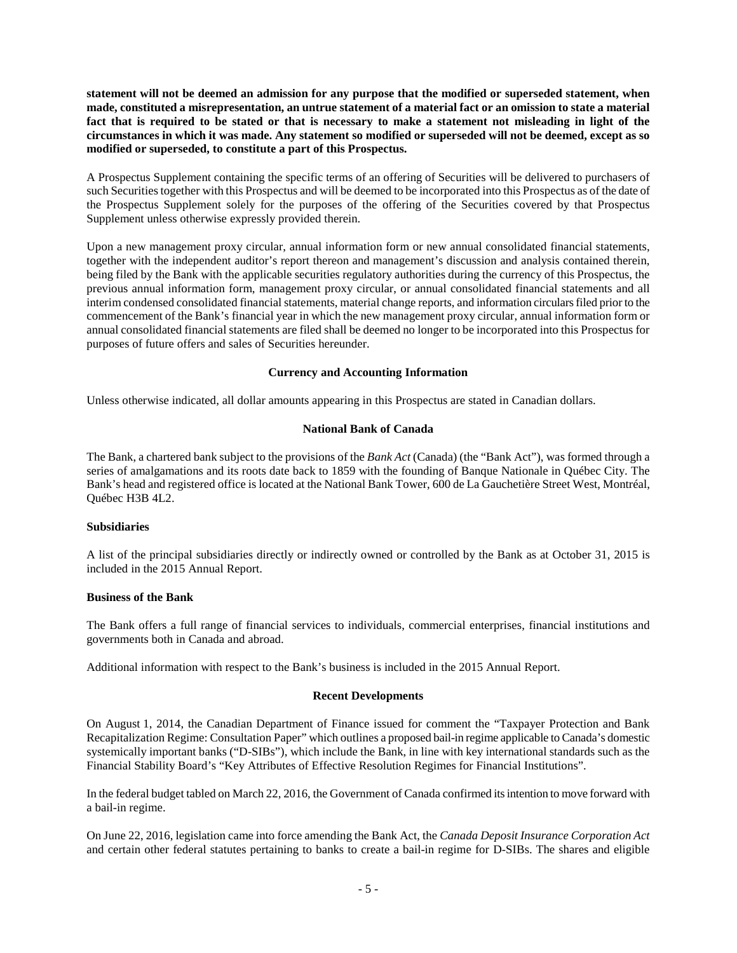**statement will not be deemed an admission for any purpose that the modified or superseded statement, when made, constituted a misrepresentation, an untrue statement of a material fact or an omission to state a material fact that is required to be stated or that is necessary to make a statement not misleading in light of the circumstances in which it was made. Any statement so modified or superseded will not be deemed, except as so modified or superseded, to constitute a part of this Prospectus.**

A Prospectus Supplement containing the specific terms of an offering of Securities will be delivered to purchasers of such Securities together with this Prospectus and will be deemed to be incorporated into this Prospectus as of the date of the Prospectus Supplement solely for the purposes of the offering of the Securities covered by that Prospectus Supplement unless otherwise expressly provided therein.

Upon a new management proxy circular, annual information form or new annual consolidated financial statements, together with the independent auditor's report thereon and management's discussion and analysis contained therein, being filed by the Bank with the applicable securities regulatory authorities during the currency of this Prospectus, the previous annual information form, management proxy circular, or annual consolidated financial statements and all interim condensed consolidated financial statements, material change reports, and information circulars filed prior to the commencement of the Bank's financial year in which the new management proxy circular, annual information form or annual consolidated financial statements are filed shall be deemed no longer to be incorporated into this Prospectus for purposes of future offers and sales of Securities hereunder.

#### **Currency and Accounting Information**

Unless otherwise indicated, all dollar amounts appearing in this Prospectus are stated in Canadian dollars.

#### **National Bank of Canada**

The Bank, a chartered bank subject to the provisions of the *Bank Act* (Canada) (the "Bank Act"), was formed through a series of amalgamations and its roots date back to 1859 with the founding of Banque Nationale in Québec City. The Bank's head and registered office is located at the National Bank Tower, 600 de La Gauchetière Street West, Montréal, Québec H3B 4L2.

#### **Subsidiaries**

A list of the principal subsidiaries directly or indirectly owned or controlled by the Bank as at October 31, 2015 is included in the 2015 Annual Report.

#### **Business of the Bank**

The Bank offers a full range of financial services to individuals, commercial enterprises, financial institutions and governments both in Canada and abroad.

Additional information with respect to the Bank's business is included in the 2015 Annual Report.

#### **Recent Developments**

On August 1, 2014, the Canadian Department of Finance issued for comment the "Taxpayer Protection and Bank Recapitalization Regime: Consultation Paper" which outlines a proposed bail-in regime applicable to Canada's domestic systemically important banks ("D-SIBs"), which include the Bank, in line with key international standards such as the Financial Stability Board's "Key Attributes of Effective Resolution Regimes for Financial Institutions".

In the federal budget tabled on March 22, 2016, the Government of Canada confirmed its intention to move forward with a bail-in regime.

On June 22, 2016, legislation came into force amending the Bank Act, the *Canada Deposit Insurance Corporation Act* and certain other federal statutes pertaining to banks to create a bail-in regime for D-SIBs. The shares and eligible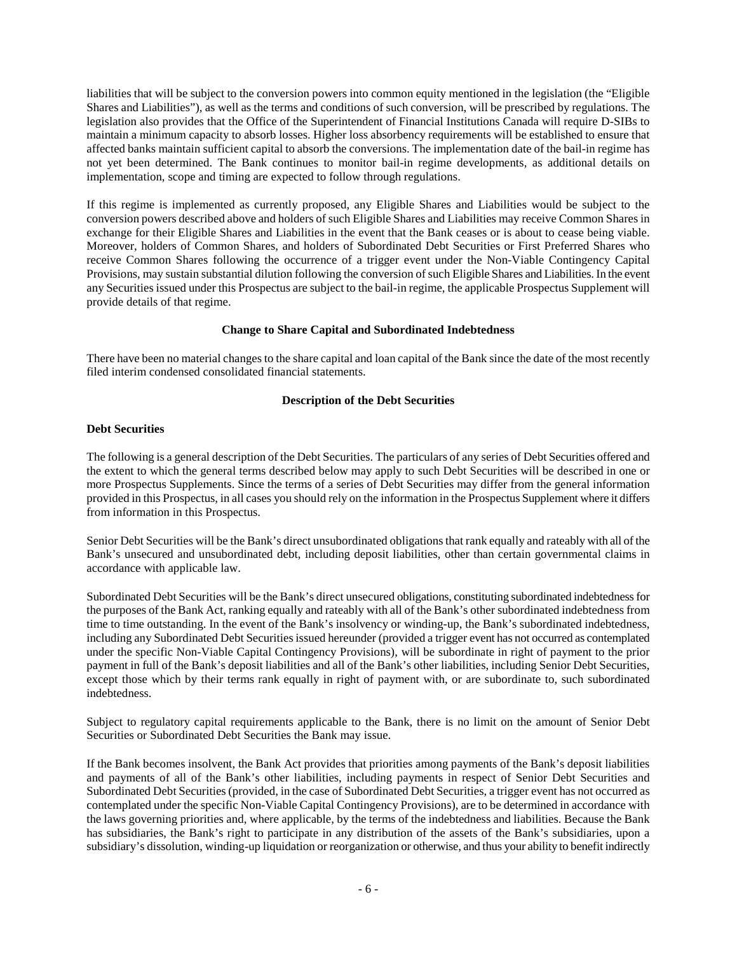liabilities that will be subject to the conversion powers into common equity mentioned in the legislation (the "Eligible Shares and Liabilities"), as well as the terms and conditions of such conversion, will be prescribed by regulations. The legislation also provides that the Office of the Superintendent of Financial Institutions Canada will require D-SIBs to maintain a minimum capacity to absorb losses. Higher loss absorbency requirements will be established to ensure that affected banks maintain sufficient capital to absorb the conversions. The implementation date of the bail-in regime has not yet been determined. The Bank continues to monitor bail-in regime developments, as additional details on implementation, scope and timing are expected to follow through regulations.

If this regime is implemented as currently proposed, any Eligible Shares and Liabilities would be subject to the conversion powers described above and holders of such Eligible Shares and Liabilities may receive Common Shares in exchange for their Eligible Shares and Liabilities in the event that the Bank ceases or is about to cease being viable. Moreover, holders of Common Shares, and holders of Subordinated Debt Securities or First Preferred Shares who receive Common Shares following the occurrence of a trigger event under the Non-Viable Contingency Capital Provisions, may sustain substantial dilution following the conversion of such Eligible Shares and Liabilities. In the event any Securities issued under this Prospectus are subject to the bail-in regime, the applicable Prospectus Supplement will provide details of that regime.

#### **Change to Share Capital and Subordinated Indebtedness**

There have been no material changes to the share capital and loan capital of the Bank since the date of the most recently filed interim condensed consolidated financial statements.

#### **Description of the Debt Securities**

#### **Debt Securities**

The following is a general description of the Debt Securities. The particulars of any series of Debt Securities offered and the extent to which the general terms described below may apply to such Debt Securities will be described in one or more Prospectus Supplements. Since the terms of a series of Debt Securities may differ from the general information provided in this Prospectus, in all cases you should rely on the information in the Prospectus Supplement where it differs from information in this Prospectus.

Senior Debt Securities will be the Bank's direct unsubordinated obligations that rank equally and rateably with all of the Bank's unsecured and unsubordinated debt, including deposit liabilities, other than certain governmental claims in accordance with applicable law.

Subordinated Debt Securities will be the Bank's direct unsecured obligations, constituting subordinated indebtedness for the purposes of the Bank Act, ranking equally and rateably with all of the Bank's other subordinated indebtedness from time to time outstanding. In the event of the Bank's insolvency or winding-up, the Bank's subordinated indebtedness, including any Subordinated Debt Securities issued hereunder (provided a trigger event has not occurred as contemplated under the specific Non-Viable Capital Contingency Provisions), will be subordinate in right of payment to the prior payment in full of the Bank's deposit liabilities and all of the Bank's other liabilities, including Senior Debt Securities, except those which by their terms rank equally in right of payment with, or are subordinate to, such subordinated indebtedness.

Subject to regulatory capital requirements applicable to the Bank, there is no limit on the amount of Senior Debt Securities or Subordinated Debt Securities the Bank may issue.

If the Bank becomes insolvent, the Bank Act provides that priorities among payments of the Bank's deposit liabilities and payments of all of the Bank's other liabilities, including payments in respect of Senior Debt Securities and Subordinated Debt Securities (provided, in the case of Subordinated Debt Securities, a trigger event has not occurred as contemplated under the specific Non-Viable Capital Contingency Provisions), are to be determined in accordance with the laws governing priorities and, where applicable, by the terms of the indebtedness and liabilities. Because the Bank has subsidiaries, the Bank's right to participate in any distribution of the assets of the Bank's subsidiaries, upon a subsidiary's dissolution, winding-up liquidation or reorganization or otherwise, and thus your ability to benefit indirectly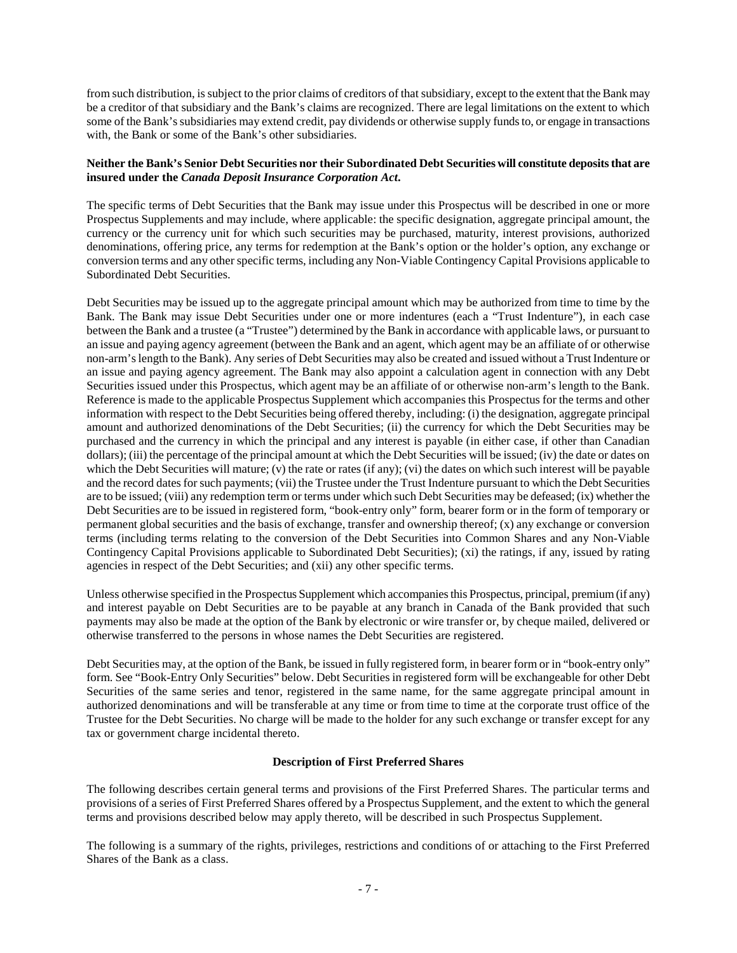from such distribution, is subject to the prior claims of creditors of that subsidiary, except to the extent that the Bank may be a creditor of that subsidiary and the Bank's claims are recognized. There are legal limitations on the extent to which some of the Bank's subsidiaries may extend credit, pay dividends or otherwise supply funds to, or engage in transactions with, the Bank or some of the Bank's other subsidiaries.

#### **Neither the Bank's Senior Debt Securities nor their Subordinated Debt Securities will constitute deposits that are insured under the** *Canada Deposit Insurance Corporation Act***.**

The specific terms of Debt Securities that the Bank may issue under this Prospectus will be described in one or more Prospectus Supplements and may include, where applicable: the specific designation, aggregate principal amount, the currency or the currency unit for which such securities may be purchased, maturity, interest provisions, authorized denominations, offering price, any terms for redemption at the Bank's option or the holder's option, any exchange or conversion terms and any other specific terms, including any Non-Viable Contingency Capital Provisions applicable to Subordinated Debt Securities.

Debt Securities may be issued up to the aggregate principal amount which may be authorized from time to time by the Bank. The Bank may issue Debt Securities under one or more indentures (each a "Trust Indenture"), in each case between the Bank and a trustee (a "Trustee") determined by the Bank in accordance with applicable laws, or pursuant to an issue and paying agency agreement (between the Bank and an agent, which agent may be an affiliate of or otherwise non-arm's length to the Bank). Any series of Debt Securities may also be created and issued without a Trust Indenture or an issue and paying agency agreement. The Bank may also appoint a calculation agent in connection with any Debt Securities issued under this Prospectus, which agent may be an affiliate of or otherwise non-arm's length to the Bank. Reference is made to the applicable Prospectus Supplement which accompanies this Prospectus for the terms and other information with respect to the Debt Securities being offered thereby, including: (i) the designation, aggregate principal amount and authorized denominations of the Debt Securities; (ii) the currency for which the Debt Securities may be purchased and the currency in which the principal and any interest is payable (in either case, if other than Canadian dollars); (iii) the percentage of the principal amount at which the Debt Securities will be issued; (iv) the date or dates on which the Debt Securities will mature; (v) the rate or rates (if any); (vi) the dates on which such interest will be payable and the record dates for such payments; (vii) the Trustee under the Trust Indenture pursuant to which the Debt Securities are to be issued; (viii) any redemption term or terms under which such Debt Securities may be defeased; (ix) whether the Debt Securities are to be issued in registered form, "book-entry only" form, bearer form or in the form of temporary or permanent global securities and the basis of exchange, transfer and ownership thereof; (x) any exchange or conversion terms (including terms relating to the conversion of the Debt Securities into Common Shares and any Non-Viable Contingency Capital Provisions applicable to Subordinated Debt Securities); (xi) the ratings, if any, issued by rating agencies in respect of the Debt Securities; and (xii) any other specific terms.

Unless otherwise specified in the Prospectus Supplement which accompanies this Prospectus, principal, premium (if any) and interest payable on Debt Securities are to be payable at any branch in Canada of the Bank provided that such payments may also be made at the option of the Bank by electronic or wire transfer or, by cheque mailed, delivered or otherwise transferred to the persons in whose names the Debt Securities are registered.

Debt Securities may, at the option of the Bank, be issued in fully registered form, in bearer form or in "book-entry only" form. See "Book-Entry Only Securities" below. Debt Securities in registered form will be exchangeable for other Debt Securities of the same series and tenor, registered in the same name, for the same aggregate principal amount in authorized denominations and will be transferable at any time or from time to time at the corporate trust office of the Trustee for the Debt Securities. No charge will be made to the holder for any such exchange or transfer except for any tax or government charge incidental thereto.

# **Description of First Preferred Shares**

The following describes certain general terms and provisions of the First Preferred Shares. The particular terms and provisions of a series of First Preferred Shares offered by a Prospectus Supplement, and the extent to which the general terms and provisions described below may apply thereto, will be described in such Prospectus Supplement.

The following is a summary of the rights, privileges, restrictions and conditions of or attaching to the First Preferred Shares of the Bank as a class.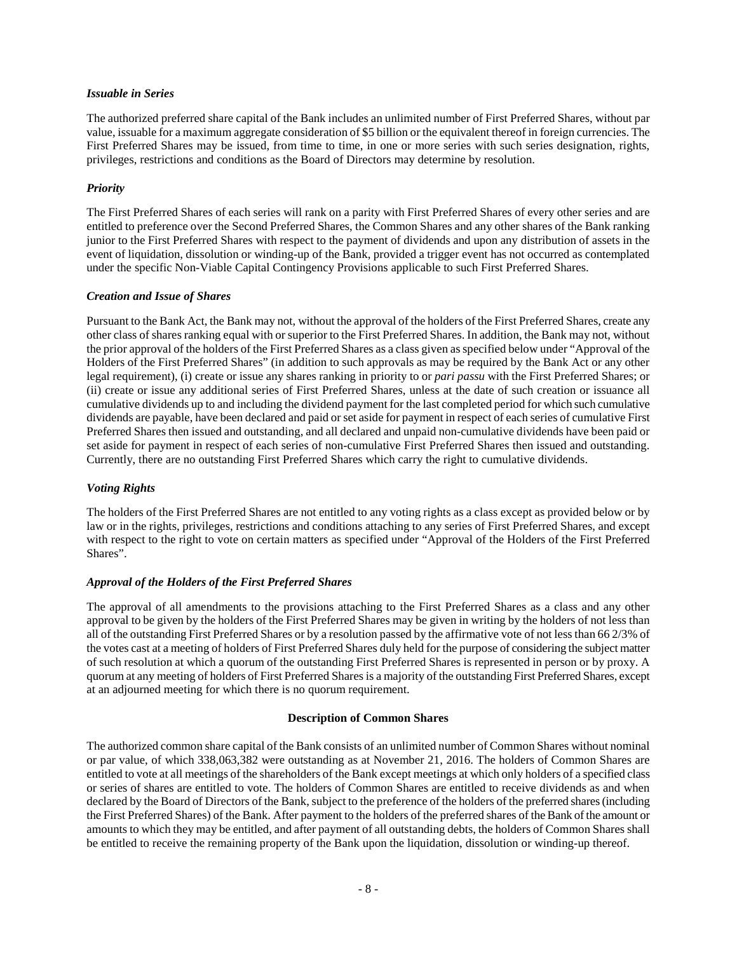#### *Issuable in Series*

The authorized preferred share capital of the Bank includes an unlimited number of First Preferred Shares, without par value, issuable for a maximum aggregate consideration of \$5 billion or the equivalent thereof in foreign currencies. The First Preferred Shares may be issued, from time to time, in one or more series with such series designation, rights, privileges, restrictions and conditions as the Board of Directors may determine by resolution.

# *Priority*

The First Preferred Shares of each series will rank on a parity with First Preferred Shares of every other series and are entitled to preference over the Second Preferred Shares, the Common Shares and any other shares of the Bank ranking junior to the First Preferred Shares with respect to the payment of dividends and upon any distribution of assets in the event of liquidation, dissolution or winding-up of the Bank, provided a trigger event has not occurred as contemplated under the specific Non-Viable Capital Contingency Provisions applicable to such First Preferred Shares.

# *Creation and Issue of Shares*

Pursuant to the Bank Act, the Bank may not, without the approval of the holders of the First Preferred Shares, create any other class of shares ranking equal with or superior to the First Preferred Shares. In addition, the Bank may not, without the prior approval of the holders of the First Preferred Shares as a class given as specified below under "Approval of the Holders of the First Preferred Shares" (in addition to such approvals as may be required by the Bank Act or any other legal requirement), (i) create or issue any shares ranking in priority to or *pari passu* with the First Preferred Shares; or (ii) create or issue any additional series of First Preferred Shares, unless at the date of such creation or issuance all cumulative dividends up to and including the dividend payment for the last completed period for which such cumulative dividends are payable, have been declared and paid or set aside for payment in respect of each series of cumulative First Preferred Shares then issued and outstanding, and all declared and unpaid non-cumulative dividends have been paid or set aside for payment in respect of each series of non-cumulative First Preferred Shares then issued and outstanding. Currently, there are no outstanding First Preferred Shares which carry the right to cumulative dividends.

# *Voting Rights*

The holders of the First Preferred Shares are not entitled to any voting rights as a class except as provided below or by law or in the rights, privileges, restrictions and conditions attaching to any series of First Preferred Shares, and except with respect to the right to vote on certain matters as specified under "Approval of the Holders of the First Preferred Shares".

# *Approval of the Holders of the First Preferred Shares*

The approval of all amendments to the provisions attaching to the First Preferred Shares as a class and any other approval to be given by the holders of the First Preferred Shares may be given in writing by the holders of not less than all of the outstanding First Preferred Shares or by a resolution passed by the affirmative vote of not less than 66 2/3% of the votes cast at a meeting of holders of First Preferred Shares duly held for the purpose of considering the subject matter of such resolution at which a quorum of the outstanding First Preferred Shares is represented in person or by proxy. A quorum at any meeting of holders of First Preferred Shares is a majority of the outstanding First Preferred Shares, except at an adjourned meeting for which there is no quorum requirement.

# **Description of Common Shares**

The authorized common share capital of the Bank consists of an unlimited number of Common Shares without nominal or par value, of which 338,063,382 were outstanding as at November 21, 2016. The holders of Common Shares are entitled to vote at all meetings of the shareholders of the Bank except meetings at which only holders of a specified class or series of shares are entitled to vote. The holders of Common Shares are entitled to receive dividends as and when declared by the Board of Directors of the Bank, subject to the preference of the holders of the preferred shares (including the First Preferred Shares) of the Bank. After payment to the holders of the preferred shares of the Bank of the amount or amounts to which they may be entitled, and after payment of all outstanding debts, the holders of Common Shares shall be entitled to receive the remaining property of the Bank upon the liquidation, dissolution or winding-up thereof.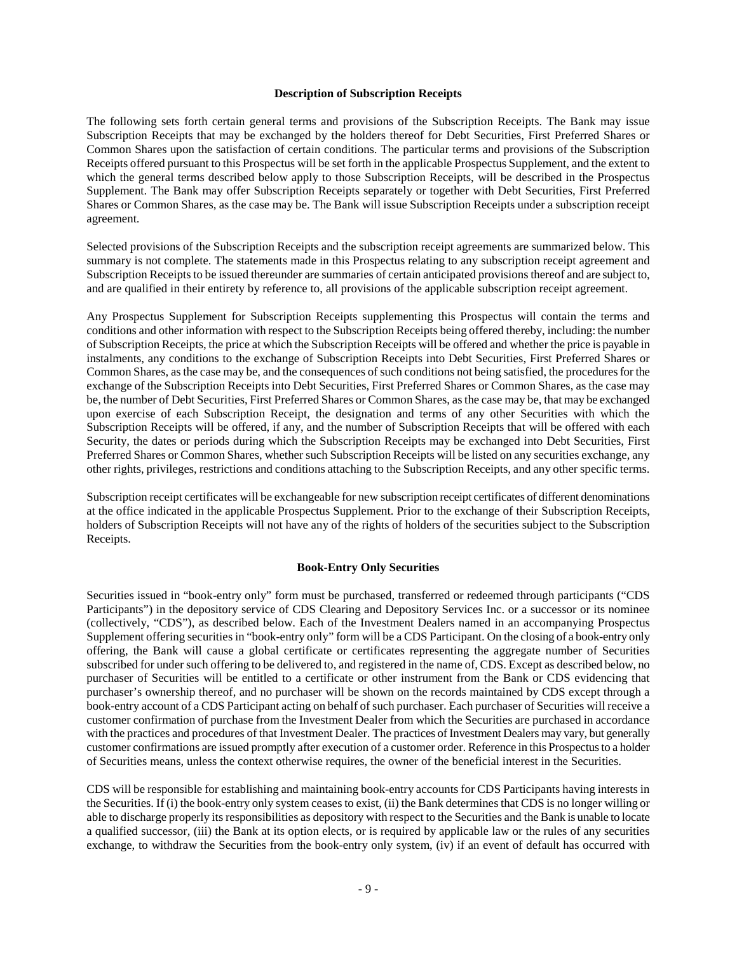#### **Description of Subscription Receipts**

The following sets forth certain general terms and provisions of the Subscription Receipts. The Bank may issue Subscription Receipts that may be exchanged by the holders thereof for Debt Securities, First Preferred Shares or Common Shares upon the satisfaction of certain conditions. The particular terms and provisions of the Subscription Receipts offered pursuant to this Prospectus will be set forth in the applicable Prospectus Supplement, and the extent to which the general terms described below apply to those Subscription Receipts, will be described in the Prospectus Supplement. The Bank may offer Subscription Receipts separately or together with Debt Securities, First Preferred Shares or Common Shares, as the case may be. The Bank will issue Subscription Receipts under a subscription receipt agreement.

Selected provisions of the Subscription Receipts and the subscription receipt agreements are summarized below. This summary is not complete. The statements made in this Prospectus relating to any subscription receipt agreement and Subscription Receipts to be issued thereunder are summaries of certain anticipated provisions thereof and are subject to, and are qualified in their entirety by reference to, all provisions of the applicable subscription receipt agreement.

Any Prospectus Supplement for Subscription Receipts supplementing this Prospectus will contain the terms and conditions and other information with respect to the Subscription Receipts being offered thereby, including: the number of Subscription Receipts, the price at which the Subscription Receipts will be offered and whether the price is payable in instalments, any conditions to the exchange of Subscription Receipts into Debt Securities, First Preferred Shares or Common Shares, as the case may be, and the consequences of such conditions not being satisfied, the procedures for the exchange of the Subscription Receipts into Debt Securities, First Preferred Shares or Common Shares, as the case may be, the number of Debt Securities, First Preferred Shares or Common Shares, as the case may be, that may be exchanged upon exercise of each Subscription Receipt, the designation and terms of any other Securities with which the Subscription Receipts will be offered, if any, and the number of Subscription Receipts that will be offered with each Security, the dates or periods during which the Subscription Receipts may be exchanged into Debt Securities, First Preferred Shares or Common Shares, whether such Subscription Receipts will be listed on any securities exchange, any other rights, privileges, restrictions and conditions attaching to the Subscription Receipts, and any other specific terms.

Subscription receipt certificates will be exchangeable for new subscription receipt certificates of different denominations at the office indicated in the applicable Prospectus Supplement. Prior to the exchange of their Subscription Receipts, holders of Subscription Receipts will not have any of the rights of holders of the securities subject to the Subscription Receipts.

#### **Book-Entry Only Securities**

Securities issued in "book-entry only" form must be purchased, transferred or redeemed through participants ("CDS Participants") in the depository service of CDS Clearing and Depository Services Inc. or a successor or its nominee (collectively, "CDS"), as described below. Each of the Investment Dealers named in an accompanying Prospectus Supplement offering securities in "book-entry only" form will be a CDS Participant. On the closing of a book-entry only offering, the Bank will cause a global certificate or certificates representing the aggregate number of Securities subscribed for under such offering to be delivered to, and registered in the name of, CDS. Except as described below, no purchaser of Securities will be entitled to a certificate or other instrument from the Bank or CDS evidencing that purchaser's ownership thereof, and no purchaser will be shown on the records maintained by CDS except through a book-entry account of a CDS Participant acting on behalf of such purchaser. Each purchaser of Securities will receive a customer confirmation of purchase from the Investment Dealer from which the Securities are purchased in accordance with the practices and procedures of that Investment Dealer. The practices of Investment Dealers may vary, but generally customer confirmations are issued promptly after execution of a customer order. Reference in this Prospectus to a holder of Securities means, unless the context otherwise requires, the owner of the beneficial interest in the Securities.

CDS will be responsible for establishing and maintaining book-entry accounts for CDS Participants having interests in the Securities. If (i) the book-entry only system ceases to exist, (ii) the Bank determines that CDS is no longer willing or able to discharge properly its responsibilities as depository with respect to the Securities and the Bank is unable to locate a qualified successor, (iii) the Bank at its option elects, or is required by applicable law or the rules of any securities exchange, to withdraw the Securities from the book-entry only system, (iv) if an event of default has occurred with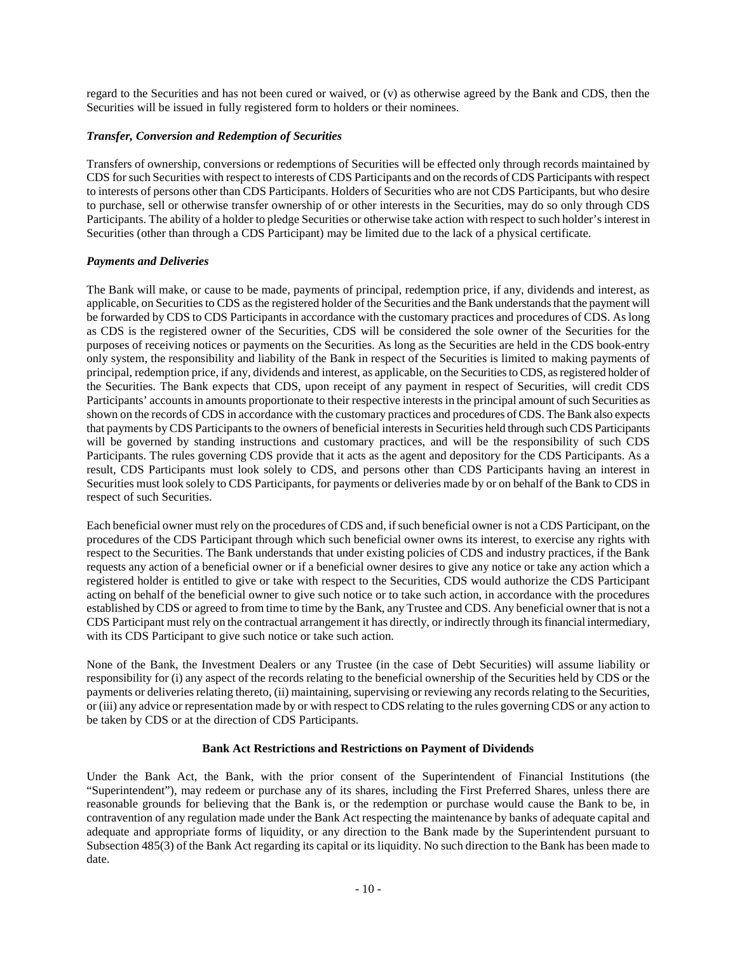regard to the Securities and has not been cured or waived, or (v) as otherwise agreed by the Bank and CDS, then the Securities will be issued in fully registered form to holders or their nominees.

# *Transfer, Conversion and Redemption of Securities*

Transfers of ownership, conversions or redemptions of Securities will be effected only through records maintained by CDS for such Securities with respect to interests of CDS Participants and on the records of CDS Participants with respect to interests of persons other than CDS Participants. Holders of Securities who are not CDS Participants, but who desire to purchase, sell or otherwise transfer ownership of or other interests in the Securities, may do so only through CDS Participants. The ability of a holder to pledge Securities or otherwise take action with respect to such holder's interest in Securities (other than through a CDS Participant) may be limited due to the lack of a physical certificate.

# *Payments and Deliveries*

The Bank will make, or cause to be made, payments of principal, redemption price, if any, dividends and interest, as applicable, on Securities to CDS as the registered holder of the Securities and the Bank understands that the payment will be forwarded by CDS to CDS Participants in accordance with the customary practices and procedures of CDS. As long as CDS is the registered owner of the Securities, CDS will be considered the sole owner of the Securities for the purposes of receiving notices or payments on the Securities. As long as the Securities are held in the CDS book-entry only system, the responsibility and liability of the Bank in respect of the Securities is limited to making payments of principal, redemption price, if any, dividends and interest, as applicable, on the Securities to CDS, as registered holder of the Securities. The Bank expects that CDS, upon receipt of any payment in respect of Securities, will credit CDS Participants' accounts in amounts proportionate to their respective interests in the principal amount of such Securities as shown on the records of CDS in accordance with the customary practices and procedures of CDS. The Bank also expects that payments by CDS Participants to the owners of beneficial interests in Securities held through such CDS Participants will be governed by standing instructions and customary practices, and will be the responsibility of such CDS Participants. The rules governing CDS provide that it acts as the agent and depository for the CDS Participants. As a result, CDS Participants must look solely to CDS, and persons other than CDS Participants having an interest in Securities must look solely to CDS Participants, for payments or deliveries made by or on behalf of the Bank to CDS in respect of such Securities.

Each beneficial owner must rely on the procedures of CDS and, if such beneficial owner is not a CDS Participant, on the procedures of the CDS Participant through which such beneficial owner owns its interest, to exercise any rights with respect to the Securities. The Bank understands that under existing policies of CDS and industry practices, if the Bank requests any action of a beneficial owner or if a beneficial owner desires to give any notice or take any action which a registered holder is entitled to give or take with respect to the Securities, CDS would authorize the CDS Participant acting on behalf of the beneficial owner to give such notice or to take such action, in accordance with the procedures established by CDS or agreed to from time to time by the Bank, any Trustee and CDS. Any beneficial owner that is not a CDS Participant must rely on the contractual arrangement it has directly, or indirectly through its financial intermediary, with its CDS Participant to give such notice or take such action.

None of the Bank, the Investment Dealers or any Trustee (in the case of Debt Securities) will assume liability or responsibility for (i) any aspect of the records relating to the beneficial ownership of the Securities held by CDS or the payments or deliveries relating thereto, (ii) maintaining, supervising or reviewing any records relating to the Securities, or (iii) any advice or representation made by or with respect to CDS relating to the rules governing CDS or any action to be taken by CDS or at the direction of CDS Participants.

# **Bank Act Restrictions and Restrictions on Payment of Dividends**

Under the Bank Act, the Bank, with the prior consent of the Superintendent of Financial Institutions (the "Superintendent"), may redeem or purchase any of its shares, including the First Preferred Shares, unless there are reasonable grounds for believing that the Bank is, or the redemption or purchase would cause the Bank to be, in contravention of any regulation made under the Bank Act respecting the maintenance by banks of adequate capital and adequate and appropriate forms of liquidity, or any direction to the Bank made by the Superintendent pursuant to Subsection 485(3) of the Bank Act regarding its capital or its liquidity. No such direction to the Bank has been made to date.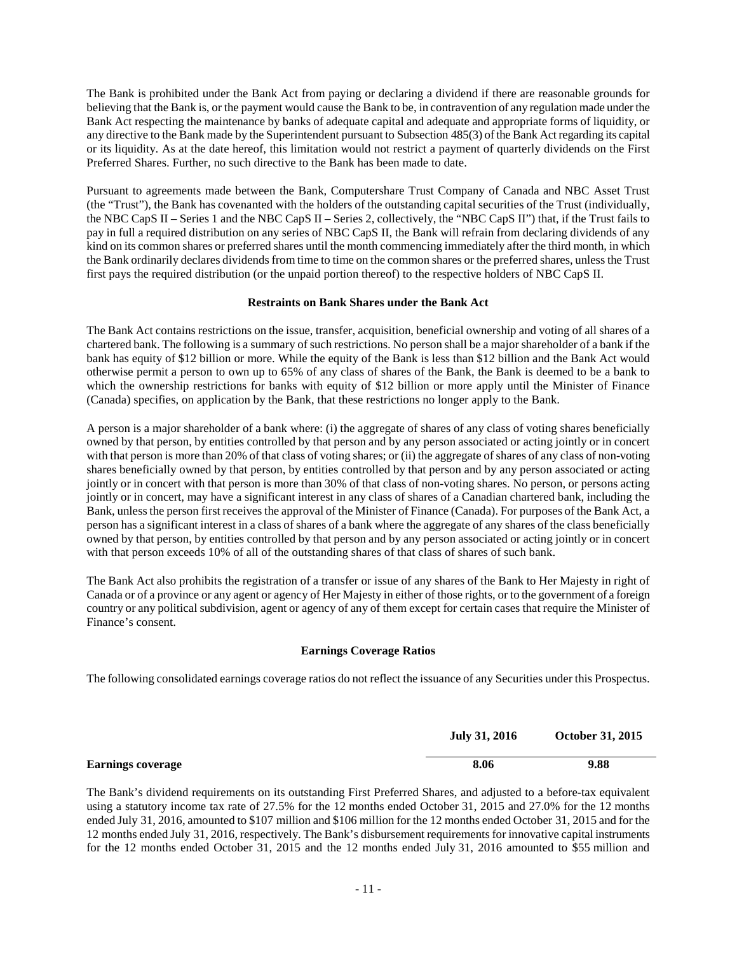The Bank is prohibited under the Bank Act from paying or declaring a dividend if there are reasonable grounds for believing that the Bank is, or the payment would cause the Bank to be, in contravention of any regulation made under the Bank Act respecting the maintenance by banks of adequate capital and adequate and appropriate forms of liquidity, or any directive to the Bank made by the Superintendent pursuant to Subsection 485(3) of the Bank Act regarding its capital or its liquidity. As at the date hereof, this limitation would not restrict a payment of quarterly dividends on the First Preferred Shares. Further, no such directive to the Bank has been made to date.

Pursuant to agreements made between the Bank, Computershare Trust Company of Canada and NBC Asset Trust (the "Trust"), the Bank has covenanted with the holders of the outstanding capital securities of the Trust (individually, the NBC CapS II – Series 1 and the NBC CapS II – Series 2, collectively, the "NBC CapS II") that, if the Trust fails to pay in full a required distribution on any series of NBC CapS II, the Bank will refrain from declaring dividends of any kind on its common shares or preferred shares until the month commencing immediately after the third month, in which the Bank ordinarily declares dividends from time to time on the common shares or the preferred shares, unless the Trust first pays the required distribution (or the unpaid portion thereof) to the respective holders of NBC CapS II.

# **Restraints on Bank Shares under the Bank Act**

The Bank Act contains restrictions on the issue, transfer, acquisition, beneficial ownership and voting of all shares of a chartered bank. The following is a summary of such restrictions. No person shall be a major shareholder of a bank if the bank has equity of \$12 billion or more. While the equity of the Bank is less than \$12 billion and the Bank Act would otherwise permit a person to own up to 65% of any class of shares of the Bank, the Bank is deemed to be a bank to which the ownership restrictions for banks with equity of \$12 billion or more apply until the Minister of Finance (Canada) specifies, on application by the Bank, that these restrictions no longer apply to the Bank.

A person is a major shareholder of a bank where: (i) the aggregate of shares of any class of voting shares beneficially owned by that person, by entities controlled by that person and by any person associated or acting jointly or in concert with that person is more than 20% of that class of voting shares; or (ii) the aggregate of shares of any class of non-voting shares beneficially owned by that person, by entities controlled by that person and by any person associated or acting jointly or in concert with that person is more than 30% of that class of non-voting shares. No person, or persons acting jointly or in concert, may have a significant interest in any class of shares of a Canadian chartered bank, including the Bank, unless the person first receives the approval of the Minister of Finance (Canada). For purposes of the Bank Act, a person has a significant interest in a class of shares of a bank where the aggregate of any shares of the class beneficially owned by that person, by entities controlled by that person and by any person associated or acting jointly or in concert with that person exceeds 10% of all of the outstanding shares of that class of shares of such bank.

The Bank Act also prohibits the registration of a transfer or issue of any shares of the Bank to Her Majesty in right of Canada or of a province or any agent or agency of Her Majesty in either of those rights, or to the government of a foreign country or any political subdivision, agent or agency of any of them except for certain cases that require the Minister of Finance's consent.

# **Earnings Coverage Ratios**

The following consolidated earnings coverage ratios do not reflect the issuance of any Securities under this Prospectus.

|                          | <b>July 31, 2016</b> | <b>October 31, 2015</b> |
|--------------------------|----------------------|-------------------------|
|                          |                      |                         |
| <b>Earnings coverage</b> | 8.06                 | 9.88                    |

The Bank's dividend requirements on its outstanding First Preferred Shares, and adjusted to a before-tax equivalent using a statutory income tax rate of 27.5% for the 12 months ended October 31, 2015 and 27.0% for the 12 months ended July 31, 2016, amounted to \$107 million and \$106 million for the 12 months ended October 31, 2015 and for the 12 months ended July 31, 2016, respectively. The Bank's disbursement requirements for innovative capital instruments for the 12 months ended October 31, 2015 and the 12 months ended July 31, 2016 amounted to \$55 million and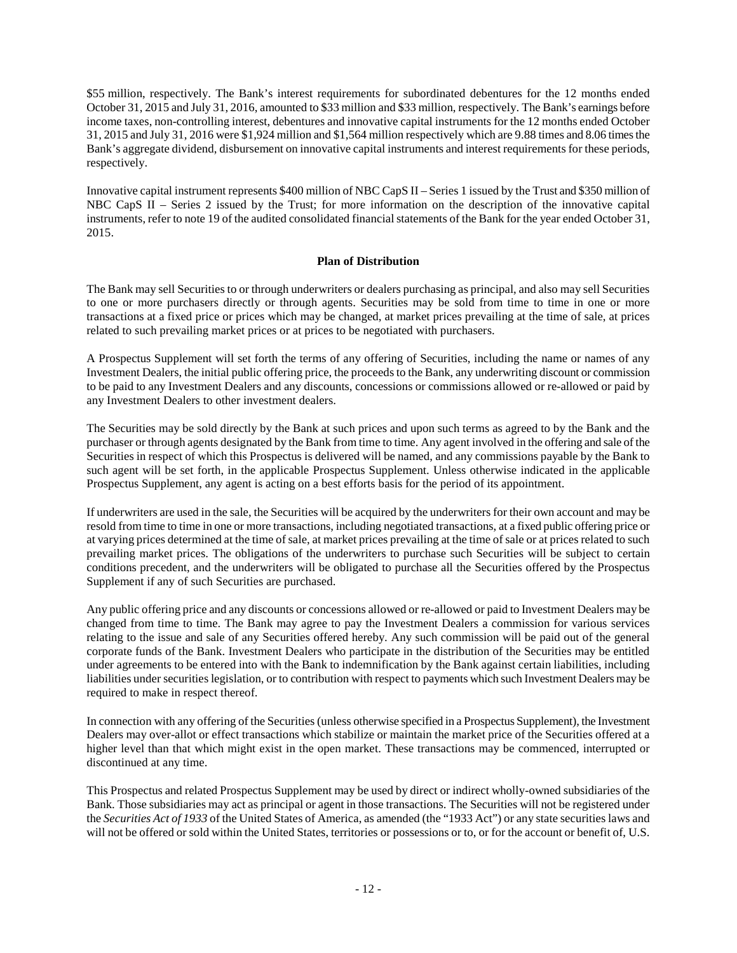\$55 million, respectively. The Bank's interest requirements for subordinated debentures for the 12 months ended October 31, 2015 and July 31, 2016, amounted to \$33 million and \$33 million, respectively. The Bank's earnings before income taxes, non-controlling interest, debentures and innovative capital instruments for the 12 months ended October 31, 2015 and July 31, 2016 were \$1,924 million and \$1,564 million respectively which are 9.88 times and 8.06 times the Bank's aggregate dividend, disbursement on innovative capital instruments and interest requirements for these periods, respectively.

Innovative capital instrument represents \$400 million of NBC CapS II – Series 1 issued by the Trust and \$350 million of NBC CapS II – Series 2 issued by the Trust; for more information on the description of the innovative capital instruments, refer to note 19 of the audited consolidated financial statements of the Bank for the year ended October 31, 2015.

# **Plan of Distribution**

The Bank may sell Securities to or through underwriters or dealers purchasing as principal, and also may sell Securities to one or more purchasers directly or through agents. Securities may be sold from time to time in one or more transactions at a fixed price or prices which may be changed, at market prices prevailing at the time of sale, at prices related to such prevailing market prices or at prices to be negotiated with purchasers.

A Prospectus Supplement will set forth the terms of any offering of Securities, including the name or names of any Investment Dealers, the initial public offering price, the proceeds to the Bank, any underwriting discount or commission to be paid to any Investment Dealers and any discounts, concessions or commissions allowed or re-allowed or paid by any Investment Dealers to other investment dealers.

The Securities may be sold directly by the Bank at such prices and upon such terms as agreed to by the Bank and the purchaser or through agents designated by the Bank from time to time. Any agent involved in the offering and sale of the Securities in respect of which this Prospectus is delivered will be named, and any commissions payable by the Bank to such agent will be set forth, in the applicable Prospectus Supplement. Unless otherwise indicated in the applicable Prospectus Supplement, any agent is acting on a best efforts basis for the period of its appointment.

If underwriters are used in the sale, the Securities will be acquired by the underwriters for their own account and may be resold from time to time in one or more transactions, including negotiated transactions, at a fixed public offering price or at varying prices determined at the time of sale, at market prices prevailing at the time of sale or at prices related to such prevailing market prices. The obligations of the underwriters to purchase such Securities will be subject to certain conditions precedent, and the underwriters will be obligated to purchase all the Securities offered by the Prospectus Supplement if any of such Securities are purchased.

Any public offering price and any discounts or concessions allowed or re-allowed or paid to Investment Dealers may be changed from time to time. The Bank may agree to pay the Investment Dealers a commission for various services relating to the issue and sale of any Securities offered hereby. Any such commission will be paid out of the general corporate funds of the Bank. Investment Dealers who participate in the distribution of the Securities may be entitled under agreements to be entered into with the Bank to indemnification by the Bank against certain liabilities, including liabilities under securities legislation, or to contribution with respect to payments which such Investment Dealers may be required to make in respect thereof.

In connection with any offering of the Securities (unless otherwise specified in a Prospectus Supplement), the Investment Dealers may over-allot or effect transactions which stabilize or maintain the market price of the Securities offered at a higher level than that which might exist in the open market. These transactions may be commenced, interrupted or discontinued at any time.

This Prospectus and related Prospectus Supplement may be used by direct or indirect wholly-owned subsidiaries of the Bank. Those subsidiaries may act as principal or agent in those transactions. The Securities will not be registered under the *Securities Act of 1933* of the United States of America, as amended (the "1933 Act") or any state securities laws and will not be offered or sold within the United States, territories or possessions or to, or for the account or benefit of, U.S.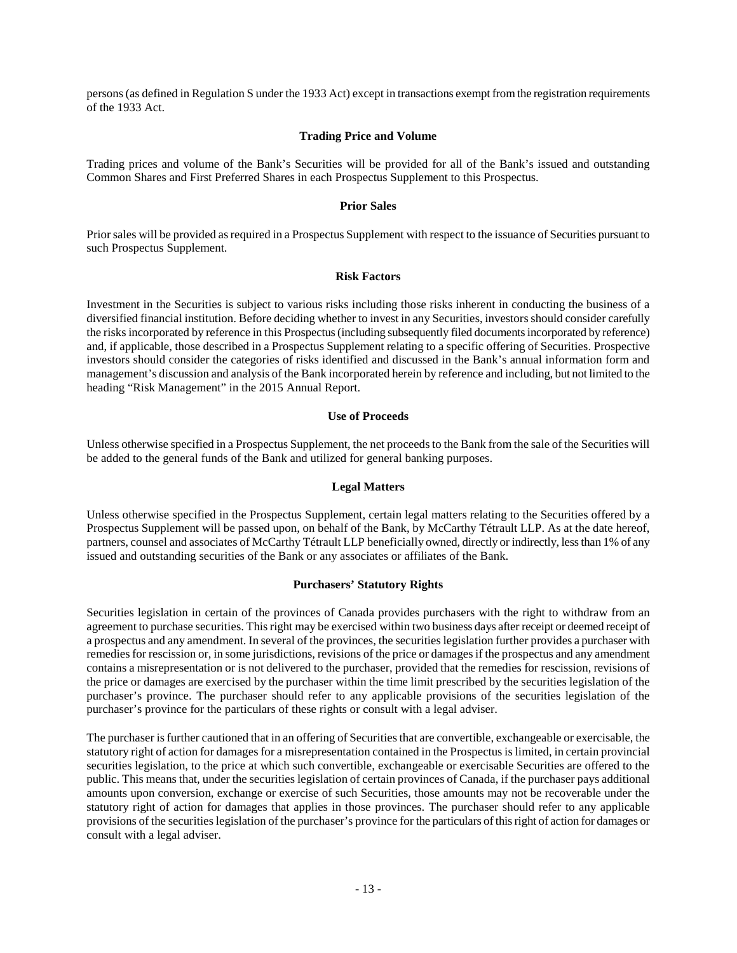persons (as defined in Regulation S under the 1933 Act) except in transactions exempt from the registration requirements of the 1933 Act.

#### **Trading Price and Volume**

Trading prices and volume of the Bank's Securities will be provided for all of the Bank's issued and outstanding Common Shares and First Preferred Shares in each Prospectus Supplement to this Prospectus.

#### **Prior Sales**

Prior sales will be provided as required in a Prospectus Supplement with respect to the issuance of Securities pursuant to such Prospectus Supplement.

#### **Risk Factors**

Investment in the Securities is subject to various risks including those risks inherent in conducting the business of a diversified financial institution. Before deciding whether to invest in any Securities, investors should consider carefully the risks incorporated by reference in this Prospectus (including subsequently filed documents incorporated by reference) and, if applicable, those described in a Prospectus Supplement relating to a specific offering of Securities. Prospective investors should consider the categories of risks identified and discussed in the Bank's annual information form and management's discussion and analysis of the Bank incorporated herein by reference and including, but not limited to the heading "Risk Management" in the 2015 Annual Report.

# **Use of Proceeds**

Unless otherwise specified in a Prospectus Supplement, the net proceeds to the Bank from the sale of the Securities will be added to the general funds of the Bank and utilized for general banking purposes.

# **Legal Matters**

Unless otherwise specified in the Prospectus Supplement, certain legal matters relating to the Securities offered by a Prospectus Supplement will be passed upon, on behalf of the Bank, by McCarthy Tétrault LLP. As at the date hereof, partners, counsel and associates of McCarthy Tétrault LLP beneficially owned, directly or indirectly, less than 1% of any issued and outstanding securities of the Bank or any associates or affiliates of the Bank.

# **Purchasers' Statutory Rights**

Securities legislation in certain of the provinces of Canada provides purchasers with the right to withdraw from an agreement to purchase securities. This right may be exercised within two business days after receipt or deemed receipt of a prospectus and any amendment. In several of the provinces, the securities legislation further provides a purchaser with remedies for rescission or, in some jurisdictions, revisions of the price or damages if the prospectus and any amendment contains a misrepresentation or is not delivered to the purchaser, provided that the remedies for rescission, revisions of the price or damages are exercised by the purchaser within the time limit prescribed by the securities legislation of the purchaser's province. The purchaser should refer to any applicable provisions of the securities legislation of the purchaser's province for the particulars of these rights or consult with a legal adviser.

The purchaser is further cautioned that in an offering of Securities that are convertible, exchangeable or exercisable, the statutory right of action for damages for a misrepresentation contained in the Prospectus is limited, in certain provincial securities legislation, to the price at which such convertible, exchangeable or exercisable Securities are offered to the public. This means that, under the securities legislation of certain provinces of Canada, if the purchaser pays additional amounts upon conversion, exchange or exercise of such Securities, those amounts may not be recoverable under the statutory right of action for damages that applies in those provinces. The purchaser should refer to any applicable provisions of the securities legislation of the purchaser's province for the particulars of this right of action for damages or consult with a legal adviser.